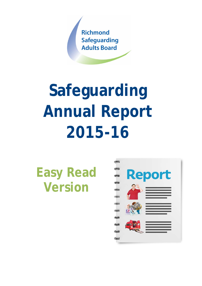

# **Safeguarding Annual Report 2015-16**

# **Easy Read Version**

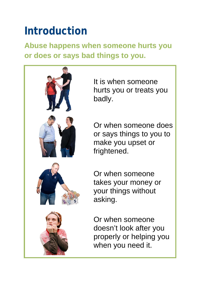# **Introduction**

**Abuse happens when someone hurts you or does or says bad things to you.**



It is when someone hurts you or treats you badly.

Or when someone does or says things to you to make you upset or frightened.

Or when someone takes your money or your things without asking.

Or when someone doesn't look after you properly or helping you when you need it.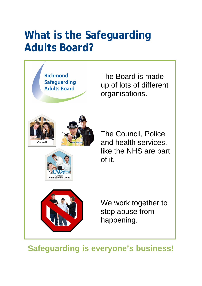#### **What is the Safeguarding Adults Board?**



The Board is made up of lots of different organisations.

The Council, Police and health services, like the NHS are part of it.

We work together to stop abuse from happening.

**Safeguarding is everyone's business!**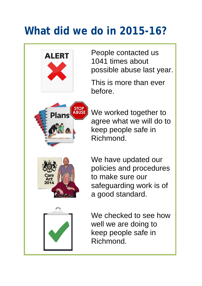## **What did we do in 2015-16?**



People contacted us 1041 times about possible abuse last year.

This is more than ever before.

We worked together to agree what we will do to keep people safe in Richmond.

We have updated our policies and procedures to make sure our safeguarding work is of a good standard.

We checked to see how well we are doing to keep people safe in Richmond.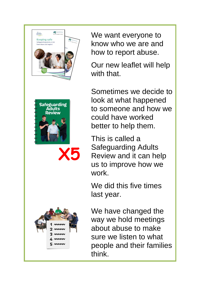



**X5**



We want everyone to know who we are and how to report abuse.

Our new leaflet will help with that.

Sometimes we decide to look at what happened to someone and how we could have worked better to help them.

This is called a Safeguarding Adults Review and it can help us to improve how we work.

We did this five times last year.

We have changed the way we hold meetings about abuse to make sure we listen to what people and their families think.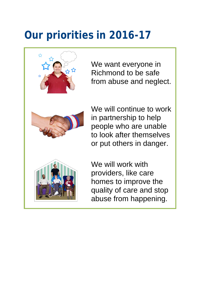## **Our priorities in 2016-17**



We want everyone in Richmond to be safe from abuse and neglect.

We will continue to work in partnership to help people who are unable to look after themselves or put others in danger.

We will work with providers, like care homes to improve the quality of care and stop abuse from happening.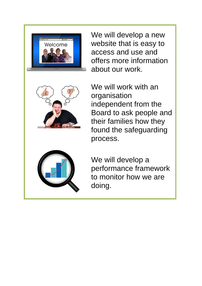

We will develop a new website that is easy to access and use and offers more information about our work.



We will work with an organisation independent from the Board to ask people and their families how they found the safeguarding process.



We will develop a performance framework to monitor how we are doing.